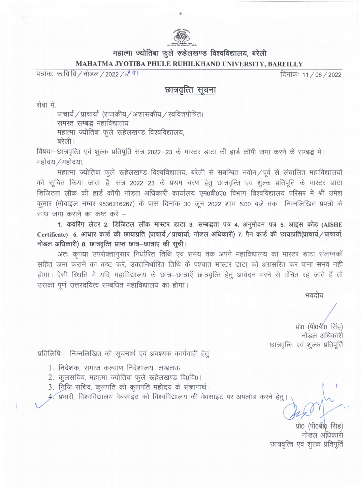

## महात्मा ज्योतिबा फूले रूहेलखण्ड विश्वविद्यालय, बरेली MAHATMA JYOTIBA PHULE RUHILKHAND UNIVERSITY, BAREILLY

पत्रांकः रू.वि.वि / नोडल / 2022 /*२ 9* ।

दिनांकः 11/06/2022

## छात्रवृत्ति सूचना

सेवा मे,

प्राचार्य / प्राचार्या (राजकीय / अशासकीय / स्ववित्तपोषित) समस्त सम्बद्ध महाविद्यालय महात्मा ज्योतिबा फुले रूहेलखण्ड विश्वविद्यालय, बरेली।

विषयः-छात्रवृत्ति एवं शुल्क प्रतिपूर्ति सत्र 2022-23 के मास्टर डाटा की हार्ड कॉपी जमा करने के सम्बद्ध में। महोदय / महोदया,

महात्मा ज्योतिबा फुले रूहेलखण्ड विश्वविद्यालय, बरेली से संबन्धित नवीन / पूर्व से संचालित महाविद्यालयों को सूचित किया जाता है, सत्र 2022-23 के प्रथम चरण हेतु छात्रवृत्ति एवं शुल्क प्रतिपूति के मास्टर डाटा डिजिटल लॉक की हार्ड कॉपी नोडल अधिकारी कार्यालय एम0बी0ए0 विभाग विश्वविद्यालय परिसर में श्री उमेश कूमार (मोबाइल नम्बर 9536216267) के पास दिनांक 30 जून 2022 शाम 5:00 बजे तक निम्नलिखित प्रपत्रो के साथ जमा कराने का कष्ट करें –

1. कवरिंग लेटर 2. डिजिटल लॉक मास्टर डाटा 3. सम्बद्धता पत्र 4. अनुमोदन पत्र 5. आइस कोड (AISHE Certificate) 6. आधार कार्ड की छायाप्रति (प्राचार्य / प्राचार्या, नोडल अधिकारी) 7. पैन कार्ड की छायाप्रति(प्राचार्य / प्राचार्या, नोडल अधिकारी) 8. छात्रवृत्ति प्राप्त छात्र-छात्राए की सूची।

अतः कृपया उपरोक्तानुसार निर्धारित तिथि एवं समय तक अपने महाविद्यालय का मास्टर डाटा संलग्नकों सहित जमा कराने का कष्ट करें, उक्तनिर्धारित तिथि के पश्चात मास्टर डाटा को अग्रसरित कर पाना संभव नही होगा। ऐसी स्थिति मे यदि महाविद्यालय के छात्र-छात्राएँ छ त्रवृत्ति हेतु आवेदन भरने से वंचित रह जाते हैं तो उसका पूर्ण उत्तरदयित्व सम्बधित महाविद्यालय का होगा।

भवदीय

प्रो0 (पी0बी0 सिंह) नोडल अधिकारी छात्रवृत्ति एवं शुल्क प्रतिपूर्ति

प्रतिलिपि:-- निम्नलिखित को सूचनार्थ एवं अवश्यक कार्यवाही हेतू

- 1. निदेशक, समाज कल्याण निदेशालय, लखलऊ
- 2. कुलसचिव, महात्मा ज्योतिबा फुले रूहेलखण्ड वि0वि0।
- 3. निजि सचिव, कुलपति को कुलपति महोदय के संज्ञानार्थ।

4. प्रभारी, विश्वविद्यालय वेबसाइट को विश्वविद्यालय की वेवसाइट पर अपलोड करने हेतू।

प्रो0 (पी0बी0 सिंह) नोडल अधिकारी छात्रवृत्ति एवं शुल्क प्रतिपूर्ति